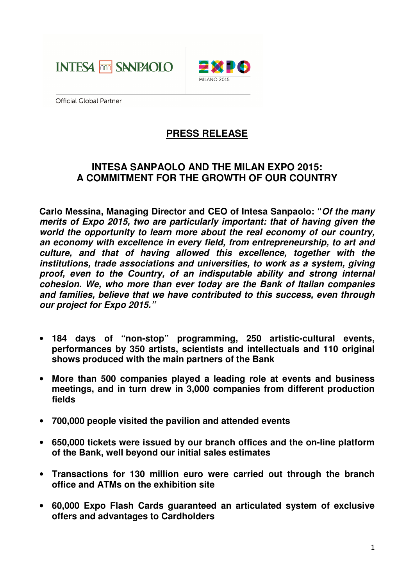



**Official Global Partner** 

# **PRESS RELEASE**

## **INTESA SANPAOLO AND THE MILAN EXPO 2015: A COMMITMENT FOR THE GROWTH OF OUR COUNTRY**

**Carlo Messina, Managing Director and CEO of Intesa Sanpaolo: "Of the many merits of Expo 2015, two are particularly important: that of having given the world the opportunity to learn more about the real economy of our country, an economy with excellence in every field, from entrepreneurship, to art and culture, and that of having allowed this excellence, together with the institutions, trade associations and universities, to work as a system, giving proof, even to the Country, of an indisputable ability and strong internal cohesion. We, who more than ever today are the Bank of Italian companies and families, believe that we have contributed to this success, even through our project for Expo 2015."** 

- **184 days of "non-stop" programming, 250 artistic-cultural events, performances by 350 artists, scientists and intellectuals and 110 original shows produced with the main partners of the Bank**
- **More than 500 companies played a leading role at events and business meetings, and in turn drew in 3,000 companies from different production fields**
- **700,000 people visited the pavilion and attended events**
- **650,000 tickets were issued by our branch offices and the on-line platform of the Bank, well beyond our initial sales estimates**
- **Transactions for 130 million euro were carried out through the branch office and ATMs on the exhibition site**
- **60,000 Expo Flash Cards guaranteed an articulated system of exclusive offers and advantages to Cardholders**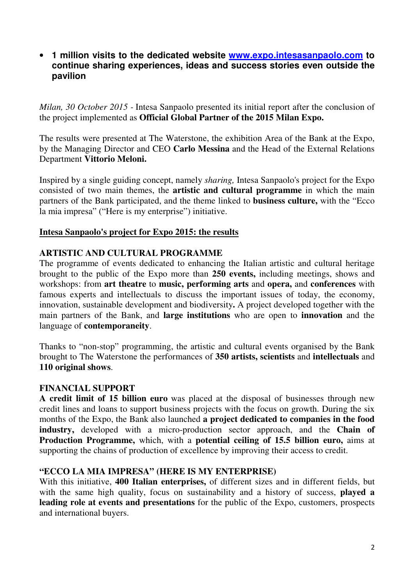## • **1 million visits to the dedicated website www.expo.intesasanpaolo.com to continue sharing experiences, ideas and success stories even outside the pavilion**

*Milan, 30 October 2015 -* Intesa Sanpaolo presented its initial report after the conclusion of the project implemented as **Official Global Partner of the 2015 Milan Expo.**

The results were presented at The Waterstone, the exhibition Area of the Bank at the Expo, by the Managing Director and CEO **Carlo Messina** and the Head of the External Relations Department **Vittorio Meloni.** 

Inspired by a single guiding concept, namely *sharing,* Intesa Sanpaolo's project for the Expo consisted of two main themes, the **artistic and cultural programme** in which the main partners of the Bank participated, and the theme linked to **business culture,** with the "Ecco la mia impresa" ("Here is my enterprise") initiative.

#### **Intesa Sanpaolo's project for Expo 2015: the results**

#### **ARTISTIC AND CULTURAL PROGRAMME**

The programme of events dedicated to enhancing the Italian artistic and cultural heritage brought to the public of the Expo more than **250 events,** including meetings, shows and workshops: from **art theatre** to **music, performing arts** and **opera,** and **conferences** with famous experts and intellectuals to discuss the important issues of today, the economy, innovation, sustainable development and biodiversity**.** A project developed together with the main partners of the Bank, and **large institutions** who are open to **innovation** and the language of **contemporaneity**.

Thanks to "non-stop" programming, the artistic and cultural events organised by the Bank brought to The Waterstone the performances of **350 artists, scientists** and **intellectuals** and **110 original shows**.

#### **FINANCIAL SUPPORT**

**A credit limit of 15 billion euro** was placed at the disposal of businesses through new credit lines and loans to support business projects with the focus on growth. During the six months of the Expo, the Bank also launched **a project dedicated to companies in the food industry,** developed with a micro-production sector approach, and the **Chain of Production Programme,** which, with a **potential ceiling of 15.5 billion euro,** aims at supporting the chains of production of excellence by improving their access to credit.

#### **"ECCO LA MIA IMPRESA" (HERE IS MY ENTERPRISE)**

With this initiative, **400 Italian enterprises,** of different sizes and in different fields, but with the same high quality, focus on sustainability and a history of success, **played a leading role at events and presentations** for the public of the Expo, customers, prospects and international buyers.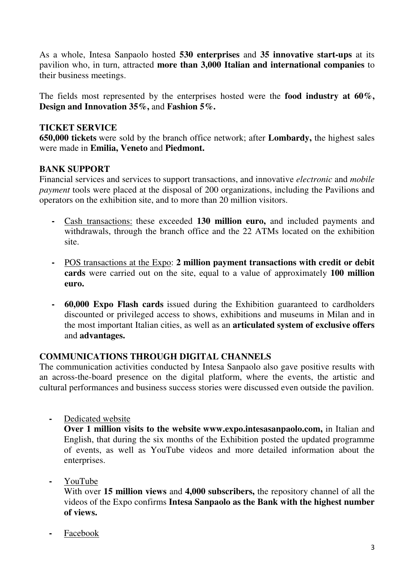As a whole, Intesa Sanpaolo hosted **530 enterprises** and **35 innovative start-ups** at its pavilion who, in turn, attracted **more than 3,000 Italian and international companies** to their business meetings.

The fields most represented by the enterprises hosted were the **food industry at 60%, Design and Innovation 35%,** and **Fashion 5%.** 

## **TICKET SERVICE**

**650,000 tickets** were sold by the branch office network; after **Lombardy,** the highest sales were made in **Emilia, Veneto** and **Piedmont.**

## **BANK SUPPORT**

Financial services and services to support transactions, and innovative *electronic* and *mobile payment* tools were placed at the disposal of 200 organizations, including the Pavilions and operators on the exhibition site, and to more than 20 million visitors.

- Cash transactions: these exceeded **130 million euro,** and included payments and withdrawals, through the branch office and the 22 ATMs located on the exhibition site.
- POS transactions at the Expo: **2 million payment transactions with credit or debit cards** were carried out on the site, equal to a value of approximately **100 million euro.**
- **60,000 Expo Flash cards** issued during the Exhibition guaranteed to cardholders discounted or privileged access to shows, exhibitions and museums in Milan and in the most important Italian cities, as well as an **articulated system of exclusive offers** and **advantages.**

## **COMMUNICATIONS THROUGH DIGITAL CHANNELS**

The communication activities conducted by Intesa Sanpaolo also gave positive results with an across-the-board presence on the digital platform, where the events, the artistic and cultural performances and business success stories were discussed even outside the pavilion.

**-** Dedicated website

**Over 1 million visits to the website www.expo.intesasanpaolo.com,** in Italian and English, that during the six months of the Exhibition posted the updated programme of events, as well as YouTube videos and more detailed information about the enterprises.

**-** YouTube

With over **15 million views** and **4,000 subscribers,** the repository channel of all the videos of the Expo confirms **Intesa Sanpaolo as the Bank with the highest number of views.**

**-** Facebook